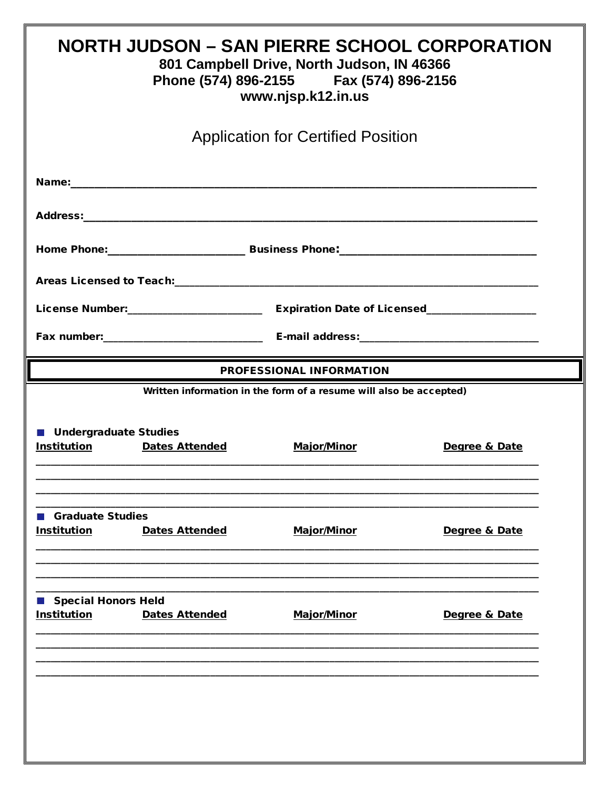| <b>NORTH JUDSON – SAN PIERRE SCHOOL CORPORATION</b><br>801 Campbell Drive, North Judson, IN 46366<br>Phone (574) 896-2155 Fax (574) 896-2156<br>www.njsp.k12.in.us |                       |                                                                                          |               |  |  |  |
|--------------------------------------------------------------------------------------------------------------------------------------------------------------------|-----------------------|------------------------------------------------------------------------------------------|---------------|--|--|--|
| <b>Application for Certified Position</b>                                                                                                                          |                       |                                                                                          |               |  |  |  |
|                                                                                                                                                                    |                       |                                                                                          |               |  |  |  |
|                                                                                                                                                                    |                       |                                                                                          |               |  |  |  |
|                                                                                                                                                                    |                       |                                                                                          |               |  |  |  |
|                                                                                                                                                                    |                       |                                                                                          |               |  |  |  |
|                                                                                                                                                                    |                       |                                                                                          |               |  |  |  |
|                                                                                                                                                                    |                       |                                                                                          |               |  |  |  |
| PROFESSIONAL INFORMATION                                                                                                                                           |                       |                                                                                          |               |  |  |  |
| <b>Undergraduate Studies</b><br><b>Institution</b>                                                                                                                 | <b>Dates Attended</b> | Written information in the form of a resume will also be accepted)<br><b>Major/Minor</b> | Degree & Date |  |  |  |
| <b>Graduate Studies</b><br><b>Institution</b>                                                                                                                      | <b>Dates Attended</b> | <b>Major/Minor</b>                                                                       | Degree & Date |  |  |  |
| Special Honors Held<br><b>Institution</b>                                                                                                                          | <b>Dates Attended</b> | <b>Major/Minor</b>                                                                       | Degree & Date |  |  |  |
|                                                                                                                                                                    |                       |                                                                                          |               |  |  |  |